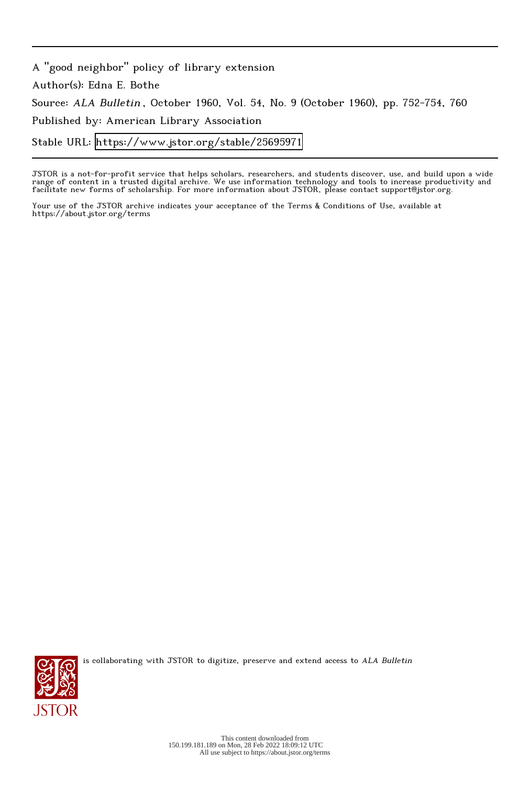A "good neighbor" policy of library extension Author(s): Edna E. Bothe Source: ALA Bulletin , October 1960, Vol. 54, No. 9 (October 1960), pp. 752-754, 760 Published by: American Library Association Stable URL:<https://www.jstor.org/stable/25695971>

JSTOR is a not-for-profit service that helps scholars, researchers, and students discover, use, and build upon a wide range of content in a trusted digital archive. We use information technology and tools to increase productivity and facilitate new forms of scholarship. For more information about JSTOR, please contact support@jstor.org.

Your use of the JSTOR archive indicates your acceptance of the Terms & Conditions of Use, available at https://about.jstor.org/terms



is collaborating with JSTOR to digitize, preserve and extend access to ALA Bulletin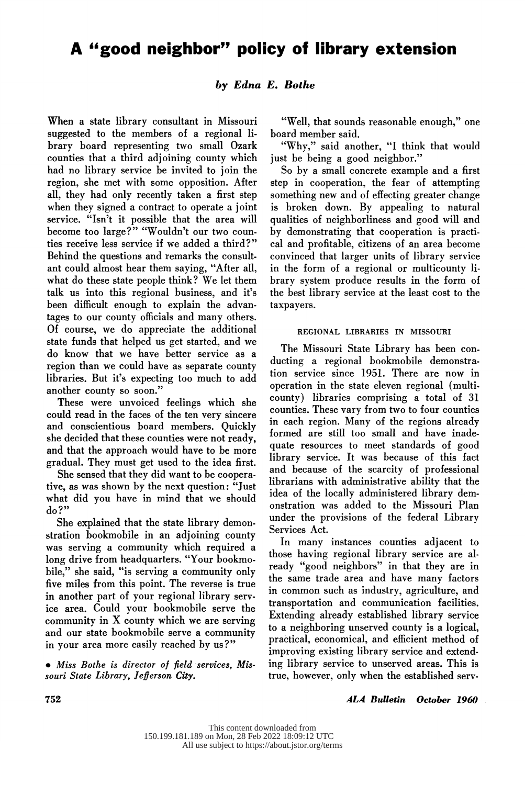# A "good neighbor" policy of library extension

# by Edna E. Bothe

When a state library consultant in Missouri<br>suggested to the members of a regional library board representing two small Ozark counties that a third adjoining county which had no library service be invited to join the region, she met with some opposition. After all, they had only recently taken a first step when they signed a contract to operate a joint service. "Isn't it possible that the area will become too large?" "Wouldn't our two counbecome too large? Wouldn't our two coun ties receive less service if we added a third?" Behind the questions and remarks the consult-<br>ant could almost hear them saying, "After all, what do these state people think? We let them talk us into this regional business, and it's been difficult enough to explain the advantages to our county officials and many others. Of course, we do appreciate the additional state funds that helped us get started, and we state funds that helped us get started, and we do know that we have better service as a region than we could have as separate county libraries. But it's expecting too much to add another county so soon."<br>These were unvoiced feelings which she

These were unvoiced feelings which she could read in the faces of the ten very sincere and conscientious board members. Quickly she decided that these counties were not ready. and that the approach would have to be more gradual. They must get used to the idea first.

She sensed that they did want to be cooperative, as was shown by the next question: "Just tive, as was shown by the next question.  $\frac{1}{1}$  using  $\frac{1}{1}$ what did you have in mind that we should do?"

She explained that the state library demonstration bookmobile in an adjoining county was serving a community which required a long drive from headquarters. "Your bookmobile," she said, "is serving a community only five miles from this point. The reverse is true in another part of your regional library servin another part of your regional library serv-<br> $\begin{bmatrix} 1 & 1 & 1 & 1 \\ 0 & 1 & 1 & 1 \end{bmatrix}$  ice area. Could your bookmobile serve the community in X county which we are serving and our state bookmobile serve a community in your area more easily reached by us?"

 Miss Bothe is director of field services, Mis souri State Library, Jefferson City.

 "Well, that sounds reasonable enough," one board member said.<br>"Why." said another. "I think that would

just be being a good neighbor."

So by a small concrete example and a first step in cooperation, the fear of attempting something new and of effecting greater change is broken down. By appealing to natural qualities of neighborliness and good will and by demonstrating that cooperation is practical and profitable, citizens of an area become convinced that larger units of library service in the form of a regional or multicounty library system produce results in the form of brary system produce results in the form of the best library service at the least cost to the taxpayers.

## REGIONAL LIBRARIES IN MISSOURI

The Missouri State Library has been con-<br>ducting a regional bookmobile demonstraducting a regional bookmobile demonstration tion service since 1951. There are now in operation in the state eleven regional (multi-<br>county) libraries comprising a total of 31 county) initiaties comprising a total of  $31$  counties. These vary from two to four counties formed are still too small and have inad quate resources to meet standards of good<br>library service. It was because of this fact and because of the scarcity of professional librarians with administrative ability that the idea of the locally administered library demidea of the locally administered library demonstration onstration was added to the Missouri Plan under the provisions of the federal Library

Services Act.<br>In many instances counties adjacent to those having regional library service are already "good neighbors" in that they are in the same trade area and have many factors in common such as industry, agriculture, and transportation and communication facilities. Extending already established library service to a neighboring unserved county is a logical, practical, economical, and efficient method of improving existing library service and extend improving existing library service and extend ing instary service to unserved areas. This true, however, only when the established serv

## ALA Bulletin October 1960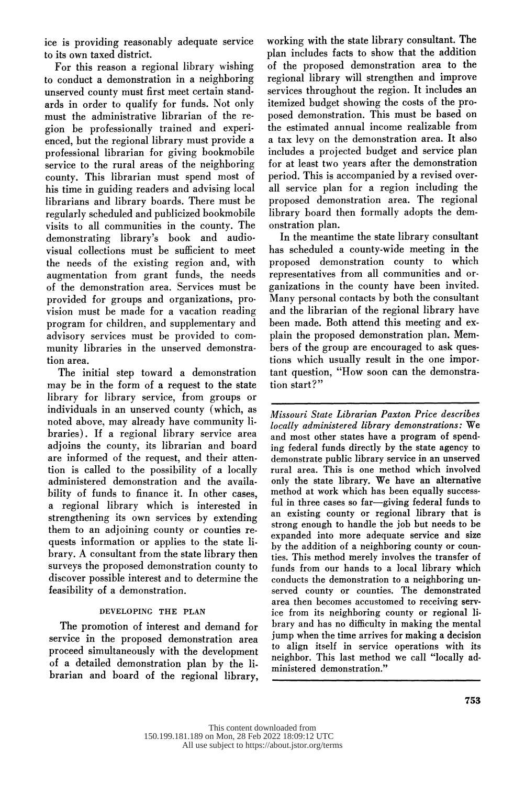ice is providing reasonably adequate service to its own taxed district.

For this reason a regional library wishing<br>to conduct a demonstration in a neighboring unserved county must first meet certain standards in order to qualify for funds. Not only ards in order to quality for funds. Not only must the administrative librarian of the re gion be professionally trained and experi professional librarian for giving bookmobile professional librarian for giving bookmobile service to the rural areas of the neighboring county. This librarian must spend most of librarians and library boards. There must be regularly scheduled and publicized bookmobile regularly scheduled and publicized bookmobile visits to all communities in the county. The demonstrating library's book and audiovisual collections must be sufficient to meet the needs of the existing region and, with<br>augmentation from grant funds, the needs augmentation from grant funds, the needs of the demonstration area. Services must be provided for groups and organizations, pro program for children, and supplementary and advisory services must be provided to com advisory services must be provided to com munity indicates in the unserved demonstra-

tion area.<br>The initial step toward a demonstration may be in the form of a request to the state library for library service, from groups or individuals in an unserved county (which, as noted above, may already have community libraries). If a regional library service area adjoins the county, its librarian and board are informed of the request, and their attention is called to the possibility of a locally tion is called to the possibility of a local administered demonstration and the available bility of funds to finance it. In other cases,<br>a regional library which is interested in strengthening its own services by extending them to an adjoining county or counties requests information or applies to the state library. A consultant from the state library then surveys the proposed demonstration county to surveys the proposed demonstration count  $\frac{d}{dx}$  discover possible interest and to determine feasibility of a demonstration.

# DEVELOPING THE PLAN

The promotion of interest and demand for<br>service in the proposed demonstration area proceed simultaneously with the development of a detailed demonstration plan by the liof a detailed demonstration plan by the brarian and board of the regional library,

 working with the state library consultant. The of the proposed demonstration area to the regional library will strengthen and improve services throughout the region. It includes an itemized budget showing the costs of the proposed demonstration. This must be based on posed demonstration. This must be based on the estimated annual income realizable from a tax levy on the demonstration area. It also for at least two years after the demonstration period. This is accompanied by a revised overall service plan for a region including the proposed demonstration area. The regional proposed demonstration area. The regional library board then formally adopts the dem onstration plan.<br>In the meantime the state library consultant

has scheduled a county-wide meeting in the proposed demonstration county to which representatives from all communities and organizations in the county have been invited.  $\rm\overline{M}$ anv personal contacts by both the consultant and the librarian of the regional library have been made. Both attend this meeting and explain the proposed demonstration plan. Members of the group are encouraged to ask questions which usually result in the one importions which usually result in the one important  $\frac{1}{2}$  tant question, "How soon can the demonstration" tion start?"

 Missouri State Librarian Paxton Price describes and most other states have a program of spending federal funds directly by the state agency to demonstrate public library service in an unserved demonstrate public library service in an unserved rural area. This is one method which involved only the state library. We have an alternative method at work which has been equally successful in three cases so far-giving federal funds to ful in three cases so  $\text{fa}$  -giving federal funds to  $\text{fa}$ an existing county of regional library that strong enough to handle the job but needs to expanded into more adequate service and size by the addition of a neighboring county or counties. This method merely involves the transfer of funds from our hands to a local library which conducts the demonstration to a neighboring unconducts the demonstration to a neighboring served county or counties. The demonstrate area then becomes accustomed to receiving serv-<br>ice from its neighboring county or regional liice from its neighboring county or regional brary and has no difficulty in making the ment jump when the time arrives for making a decision to align itself in service operations with  $\frac{1}{1}$ neighbor. This last method we call "locally" ministered demonstration."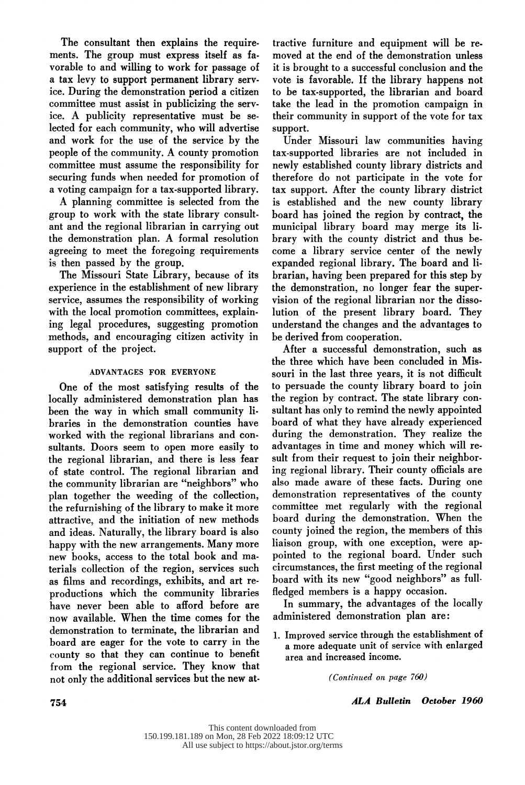The consultant then explains the require-<br>ments. The group must express itself as favorable to and willing to work for passage of a tax levy to support permanent library service. During the demonstration period a citizen committee must assist in publicizing the service. A publicity representative must be selected for each community, who will advertise and work for the use of the service by the people of the community. A county promotion committee must assume the responsibility for securing funds when needed for promotion of a voting campaign for a tax-supported library.

A planning committee is selected from the group to work with the state library consultant and the regional librarian in carrying out the demonstration plan. A formal resolution agreeing to meet the foregoing requirements is then passed by the group.

The Missouri State Library, because of its experience in the establishment of new library service, assumes the responsibility of working with the local promotion committees, explaining legal procedures, suggesting promotion ing legal procedures, suggesting promotion methods, and encouraging citizen activity in support of the project.

#### ADVANTAGES FOR EVERYONE

One of the most satisfying results of the locally administered demonstration plan has been the way in which small community libeen the way in which small community in braries in the demonstration counties have worked with the regional librarians and con the regional librarian, and there is less fear the regional initiatian, and there is less fear of state control. The regional librarian and the community librarian are "neighbors" who<br>plan together the weeding of the collection, the refurnishing of the library to make it more attractive, and the initiation of new methods and ideas. Naturally, the library board is also happy with the new arrangements. Many more happy with the new arrangements. Many more new books, access to the total book and ma terials collection of the region, services such productions which the community libraries productions which the community libraries have never been able to afford before are now available. When the time comes for the demonstration to terminate, the librarian and board are eager for the vote to carry in the county so that they can continue to benefit<br>from the regional service. They know that from the regional service. They know that not only the additional services but the new at

 tractive furniture and equipment will be re moved at the end of the demonstration unless it is brought to a successful conclusion and the to be tax-supported, the librarian and board take the lead in the promotion campaign in take the lead in the promotion campaign in their community in support of the vote for tax

support.<br>Under Missouri law communities having tax-supported libraries are not included in newly established county library districts and therefore do not participate in the vote for tax support. After the county library district is established and the new county library board has ioined the region by contract, the municipal library board may merge its library with the county district and thus become a library service center of the newly expanded regional library. The board and librarian, having been prepared for this step by the demonstration, no longer fear the supervision of the regional librarian nor the dissolution of the present library board. They understand the changes and the advantages to be derived from cooperation.

After a successful demonstration, such as After a successful demonstration, such the three which have been concluded in M souri in the last three years, it is not difficult the region by contract. The state library consultant has only to remind the newly appointed board of what they have already experienced during the demonstration. They realize the advantages in time and money which will result from their request to join their neighboring regional library. Their county officials are also made aware of these facts. During one demonstration representatives of the county committee met regularly with the regional board during the demonstration. When the county joined the region, the members of this liaison group, with one exception, were appointed to the regional board. Under such circumstances, the first meeting of the regional board with its new "good neighbors" as fullfledged members is a happy occasion.

In summary, the advantages of the locally In summary, the advantages of the local administered demonstration plan are

1. Improved service through the establishment a more adequate unit of service with emarge area and increased income.

(Continued on page 760)

754 ALA Bulletin October 1960